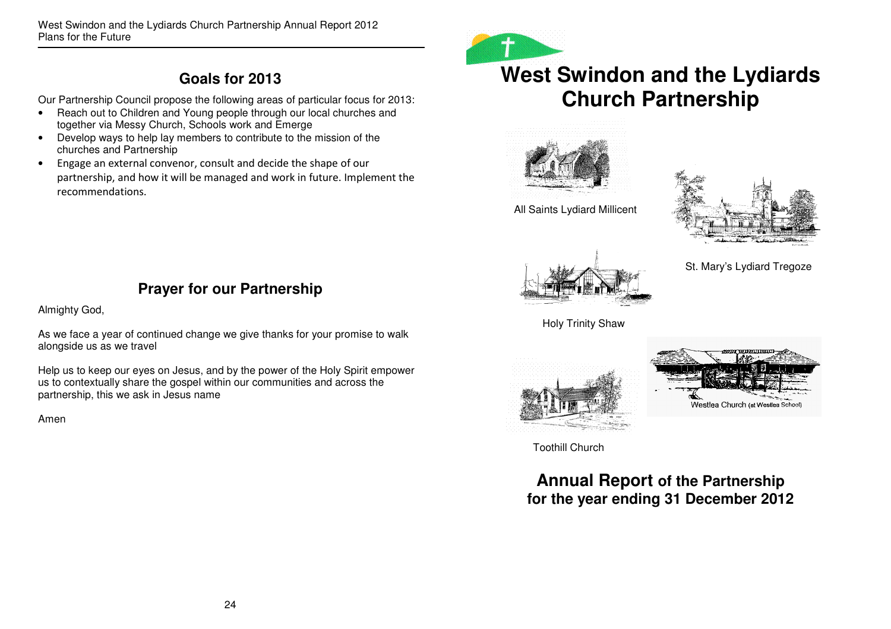West Swindon and the Lydiards Church Partnership Annual Report 2012 Plans for the Future

# **Goals for 2013**

Our Partnership Council propose the following areas of particular focus for 2013:

- Reach out to Children and Young people through our local churches and together via Messy Church, Schools work and Emerge
- Develop ways to help lay members to contribute to the mission of the churches and Partnership
- Engage an external convenor, consult and decide the shape of our •partnership, and how it will be managed and work in future. Implement the recommendations.



# **West Swindon and the Lydiards Church Partnership**



All Saints Lydiard Millicent





St. Mary's Lydiard Tregoze

# **Prayer for our Partnership**

Almighty God,

As we face a year of continued change we give thanks for your promise to walk alongside us as we travel

Help us to keep our eyes on Jesus, and by the power of the Holy Spirit empower us to contextually share the gospel within our communities and across the partnership, this we ask in Jesus name

Amen





Toothill Church

**Annual Report of the Partnership for the year ending 31 December 2012**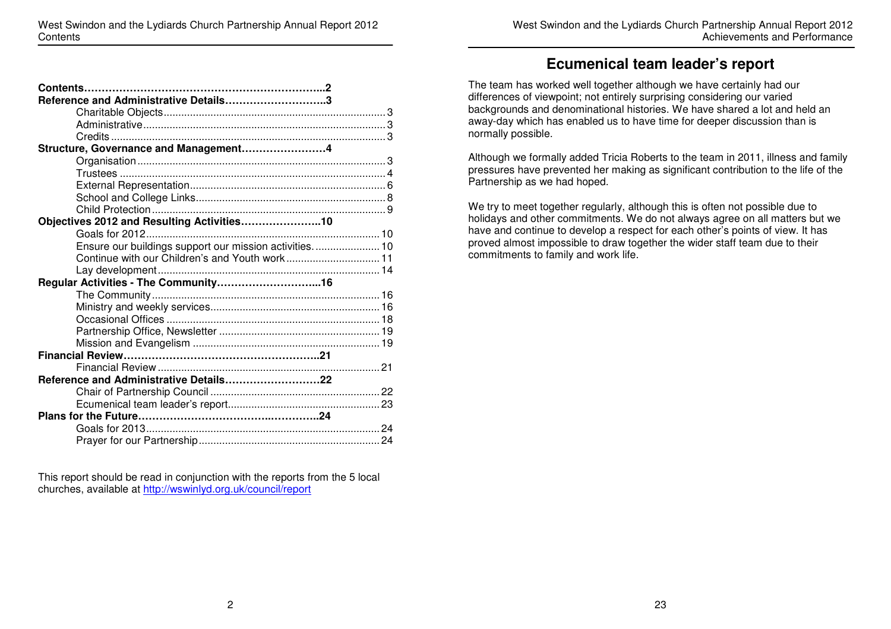| West Swindon and the Lydiards Church Partnership Annual Report 2012 |                              |
|---------------------------------------------------------------------|------------------------------|
|                                                                     | Achievements and Performance |

### **Ecumenical team leader's report**

The team has worked well together although we have certainly had our differences of viewpoint; not entirely surprising considering our varied backgrounds and denominational histories. We have shared a lot and held an away-day which has enabled us to have time for deeper discussion than is normally possible.

Although we formally added Tricia Roberts to the team in 2011, illness and family pressures have prevented her making as significant contribution to the life of the Partnership as we had hoped.

We try to meet together regularly, although this is often not possible due to holidays and other commitments. We do not always agree on all matters but we have and continue to develop a respect for each other's points of view. It has proved almost impossible to draw together the wider staff team due to their commitments to family and work life.

| Reference and Administrative Details3                  |  |
|--------------------------------------------------------|--|
|                                                        |  |
|                                                        |  |
|                                                        |  |
| Structure, Governance and Management4                  |  |
|                                                        |  |
|                                                        |  |
|                                                        |  |
|                                                        |  |
|                                                        |  |
| Objectives 2012 and Resulting Activities10             |  |
|                                                        |  |
| Ensure our buildings support our mission activities 10 |  |
| Continue with our Children's and Youth work 11         |  |
|                                                        |  |
|                                                        |  |
|                                                        |  |
|                                                        |  |
|                                                        |  |
|                                                        |  |
|                                                        |  |
|                                                        |  |
|                                                        |  |
| Reference and Administrative Details22                 |  |
|                                                        |  |
|                                                        |  |
|                                                        |  |
|                                                        |  |
|                                                        |  |

This report should be read in conjunction with the reports from the 5 local churches, available at http://wswinlyd.org.uk/council/report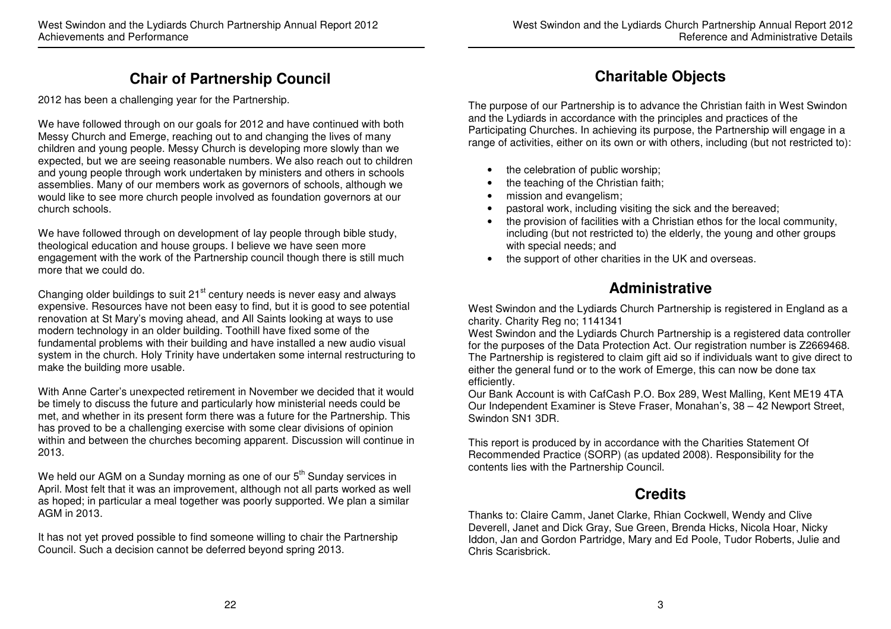# **Chair of Partnership Council**

2012 has been a challenging year for the Partnership.

We have followed through on our goals for 2012 and have continued with both Messy Church and Emerge, reaching out to and changing the lives of many children and young people. Messy Church is developing more slowly than we expected, but we are seeing reasonable numbers. We also reach out to children and young people through work undertaken by ministers and others in schools assemblies. Many of our members work as governors of schools, although we would like to see more church people involved as foundation governors at our church schools.

We have followed through on development of lay people through bible study, theological education and house groups. I believe we have seen more engagement with the work of the Partnership council though there is still much more that we could do.

Changing older buildings to suit 21<sup>st</sup> century needs is never easy and always expensive. Resources have not been easy to find, but it is good to see potential renovation at St Mary's moving ahead, and All Saints looking at ways to use modern technology in an older building. Toothill have fixed some of the fundamental problems with their building and have installed a new audio visual system in the church. Holy Trinity have undertaken some internal restructuring to make the building more usable.

With Anne Carter's unexpected retirement in November we decided that it would be timely to discuss the future and particularly how ministerial needs could be met, and whether in its present form there was a future for the Partnership. This has proved to be a challenging exercise with some clear divisions of opinion within and between the churches becoming apparent. Discussion will continue in 2013.

We held our AGM on a Sunday morning as one of our  $5<sup>th</sup>$  Sunday services in April. Most felt that it was an improvement, although not all parts worked as well as hoped; in particular a meal together was poorly supported. We plan a similar AGM in 2013.

It has not yet proved possible to find someone willing to chair the Partnership Council. Such a decision cannot be deferred beyond spring 2013.

# **Charitable Objects**

The purpose of our Partnership is to advance the Christian faith in West Swindon and the Lydiards in accordance with the principles and practices of the Participating Churches. In achieving its purpose, the Partnership will engage in a range of activities, either on its own or with others, including (but not restricted to):

- the celebration of public worship;
- the teaching of the Christian faith;
- mission and evangelism;
- pastoral work, including visiting the sick and the bereaved;
- the provision of facilities with a Christian ethos for the local community, including (but not restricted to) the elderly, the young and other groups with special needs; and
- the support of other charities in the UK and overseas.

# **Administrative**

West Swindon and the Lydiards Church Partnership is registered in England as a charity. Charity Reg no; 1141341

 West Swindon and the Lydiards Church Partnership is a registered data controller for the purposes of the Data Protection Act. Our registration number is Z2669468. The Partnership is registered to claim gift aid so if individuals want to give direct to either the general fund or to the work of Emerge, this can now be done tax efficiently.

 Our Bank Account is with CafCash P.O. Box 289, West Malling, Kent ME19 4TA Our Independent Examiner is Steve Fraser, Monahan's, 38 – 42 Newport Street, Swindon SN1 3DR.

This report is produced by in accordance with the Charities Statement Of Recommended Practice (SORP) (as updated 2008). Responsibility for the contents lies with the Partnership Council.

# **Credits**

Thanks to: Claire Camm, Janet Clarke, Rhian Cockwell, Wendy and Clive Deverell, Janet and Dick Gray, Sue Green, Brenda Hicks, Nicola Hoar, Nicky Iddon, Jan and Gordon Partridge, Mary and Ed Poole, Tudor Roberts, Julie and Chris Scarisbrick.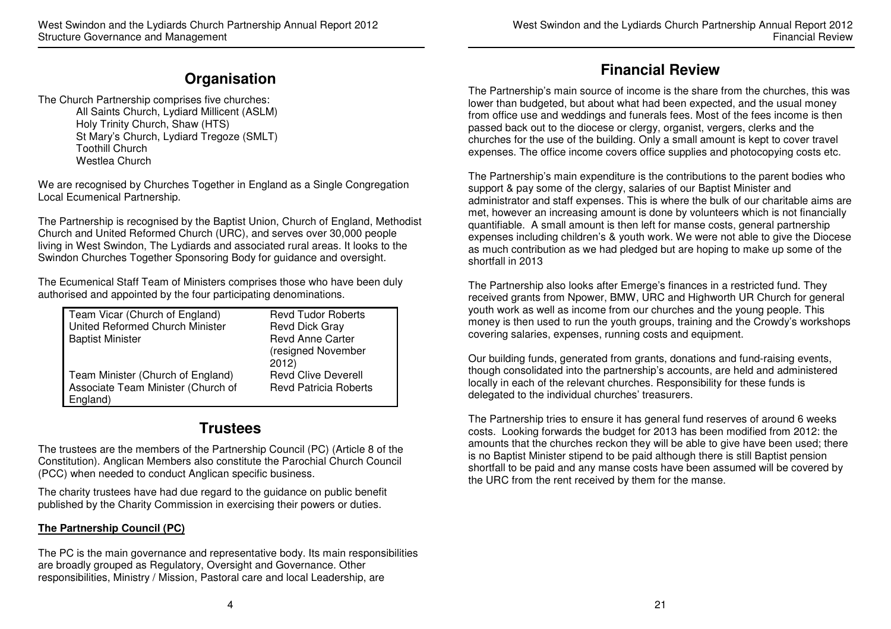## **Organisation**

The Church Partnership comprises five churches: All Saints Church, Lydiard Millicent (ASLM) Holy Trinity Church, Shaw (HTS) St Mary's Church, Lydiard Tregoze (SMLT) Toothill Church Westlea Church

We are recognised by Churches Together in England as a Single Congregation Local Ecumenical Partnership.

The Partnership is recognised by the Baptist Union, Church of England, Methodist Church and United Reformed Church (URC), and serves over 30,000 people living in West Swindon, The Lydiards and associated rural areas. It looks to the Swindon Churches Together Sponsoring Body for guidance and oversight.

The Ecumenical Staff Team of Ministers comprises those who have been duly authorised and appointed by the four participating denominations.

| Team Vicar (Church of England)     | <b>Revd Tudor Roberts</b>    |
|------------------------------------|------------------------------|
| United Reformed Church Minister    | <b>Revd Dick Gray</b>        |
| <b>Baptist Minister</b>            | <b>Revd Anne Carter</b>      |
|                                    | (resigned November           |
|                                    | 2012)                        |
| Team Minister (Church of England)  | <b>Revd Clive Deverell</b>   |
| Associate Team Minister (Church of | <b>Revd Patricia Roberts</b> |
| England)                           |                              |

# **Trustees**

The trustees are the members of the Partnership Council (PC) (Article 8 of the Constitution). Anglican Members also constitute the Parochial Church Council (PCC) when needed to conduct Anglican specific business.

The charity trustees have had due regard to the guidance on public benefit published by the Charity Commission in exercising their powers or duties.

#### **The Partnership Council (PC)**

The PC is the main governance and representative body. Its main responsibilities are broadly grouped as Regulatory, Oversight and Governance. Other responsibilities, Ministry / Mission, Pastoral care and local Leadership, are

# **Financial Review**

The Partnership's main source of income is the share from the churches, this was lower than budgeted, but about what had been expected, and the usual money from office use and weddings and funerals fees. Most of the fees income is then passed back out to the diocese or clergy, organist, vergers, clerks and the churches for the use of the building. Only a small amount is kept to cover travel expenses. The office income covers office supplies and photocopying costs etc.

The Partnership's main expenditure is the contributions to the parent bodies who support & pay some of the clergy, salaries of our Baptist Minister and administrator and staff expenses. This is where the bulk of our charitable aims are met, however an increasing amount is done by volunteers which is not financially quantifiable. A small amount is then left for manse costs, general partnership expenses including children's & youth work. We were not able to give the Diocese as much contribution as we had pledged but are hoping to make up some of the shortfall in 2013

The Partnership also looks after Emerge's finances in a restricted fund. They received grants from Npower, BMW, URC and Highworth UR Church for general youth work as well as income from our churches and the young people. This money is then used to run the youth groups, training and the Crowdy's workshops covering salaries, expenses, running costs and equipment.

Our building funds, generated from grants, donations and fund-raising events, though consolidated into the partnership's accounts, are held and administered locally in each of the relevant churches. Responsibility for these funds is delegated to the individual churches' treasurers.

The Partnership tries to ensure it has general fund reserves of around 6 weeks costs. Looking forwards the budget for 2013 has been modified from 2012: the amounts that the churches reckon they will be able to give have been used; there is no Baptist Minister stipend to be paid although there is still Baptist pension shortfall to be paid and any manse costs have been assumed will be covered by the URC from the rent received by them for the manse.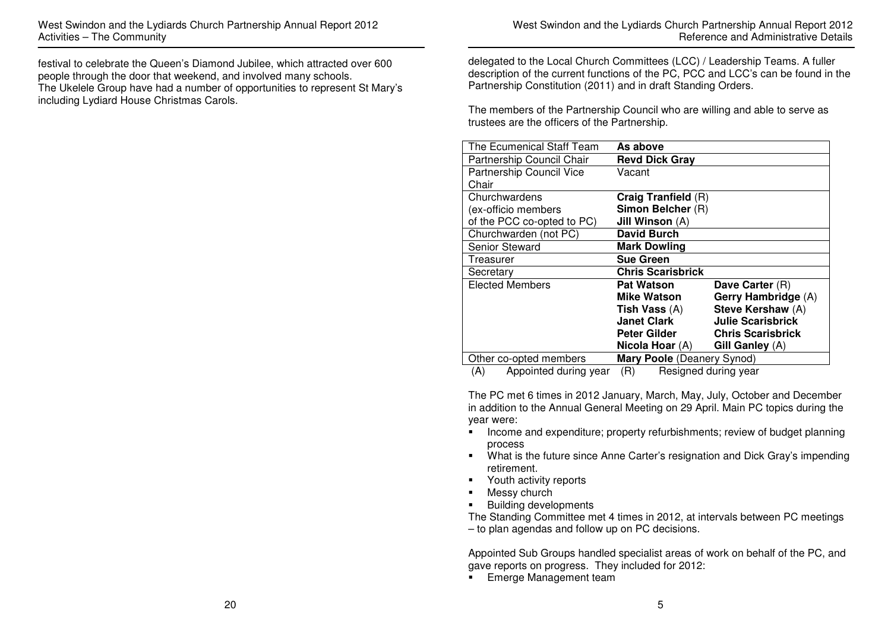festival to celebrate the Queen's Diamond Jubilee, which attracted over 600 people through the door that weekend, and involved many schools. The Ukelele Group have had a number of opportunities to represent St Mary's including Lydiard House Christmas Carols.

delegated to the Local Church Committees (LCC) / Leadership Teams. A fuller description of the current functions of the PC, PCC and LCC's can be found in the Partnership Constitution (2011) and in draft Standing Orders.

The members of the Partnership Council who are willing and able to serve as trustees are the officers of the Partnership.

| The Ecumenical Staff Team          | As above                      |                          |
|------------------------------------|-------------------------------|--------------------------|
| Partnership Council Chair          | <b>Revd Dick Gray</b>         |                          |
| Partnership Council Vice           | Vacant                        |                          |
| Chair                              |                               |                          |
| Churchwardens                      | Craig Tranfield (R)           |                          |
| (ex-officio members                | Simon Belcher (R)             |                          |
| of the PCC co-opted to PC)         | Jill Winson (A)               |                          |
| Churchwarden (not PC)              | <b>David Burch</b>            |                          |
| <b>Senior Steward</b>              | <b>Mark Dowling</b>           |                          |
| Treasurer                          | <b>Sue Green</b>              |                          |
| Secretary                          | <b>Chris Scarisbrick</b>      |                          |
| <b>Elected Members</b>             | <b>Pat Watson</b>             | Dave Carter (R)          |
|                                    | <b>Mike Watson</b>            | Gerry Hambridge (A)      |
|                                    | <b>Tish Vass</b> (A)          | Steve Kershaw (A)        |
|                                    | <b>Janet Clark</b>            | <b>Julie Scarisbrick</b> |
|                                    | Peter Gilder                  | <b>Chris Scarisbrick</b> |
|                                    | Nicola Hoar (A)               | Gill Ganley (A)          |
| Other co-opted members             | Mary Poole (Deanery Synod)    |                          |
| Appointed during vear<br>$\Lambda$ | 7 D I<br>Rosianod during voor |                          |

(A) Appointed during year (R) Resigned during year

The PC met 6 times in 2012 January, March, May, July, October and December in addition to the Annual General Meeting on 29 April. Main PC topics during the year were:

- **Income and expenditure; property refurbishments; review of budget planning** process
- **What is the future since Anne Carter's resignation and Dick Gray's impending** retirement.
- **Fig.** Youth activity reports
- Messy church
- **Building developments**

 The Standing Committee met 4 times in 2012, at intervals between PC meetings – to plan agendas and follow up on PC decisions.

Appointed Sub Groups handled specialist areas of work on behalf of the PC, and gave reports on progress. They included for 2012:

**Emerge Management team**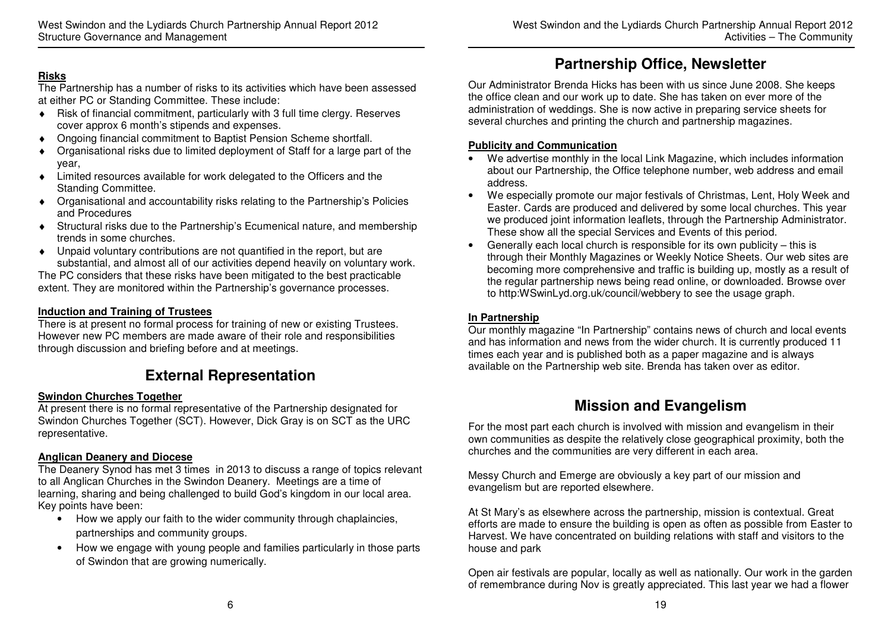### **Risks**

 The Partnership has a number of risks to its activities which have been assessed at either PC or Standing Committee. These include:

- ♦ Risk of financial commitment, particularly with 3 full time clergy. Reserves cover approx 6 month's stipends and expenses.
- ♦ Ongoing financial commitment to Baptist Pension Scheme shortfall.
- ♦ Organisational risks due to limited deployment of Staff for a large part of the year,
- Limited resources available for work delegated to the Officers and the Standing Committee.
- ♦ Organisational and accountability risks relating to the Partnership's Policies and Procedures
- ♦ Structural risks due to the Partnership's Ecumenical nature, and membership trends in some churches.
- ♦ Unpaid voluntary contributions are not quantified in the report, but are substantial, and almost all of our activities depend heavily on voluntary work. The PC considers that these risks have been mitigated to the best practicable

extent. They are monitored within the Partnership's governance processes.

### **Induction and Training of Trustees**

 There is at present no formal process for training of new or existing Trustees. However new PC members are made aware of their role and responsibilities through discussion and briefing before and at meetings.

# **External Representation**

#### **Swindon Churches Together**

 At present there is no formal representative of the Partnership designated for Swindon Churches Together (SCT). However, Dick Gray is on SCT as the URC representative.

#### **Anglican Deanery and Diocese**

 The Deanery Synod has met 3 times in 2013 to discuss a range of topics relevant to all Anglican Churches in the Swindon Deanery. Meetings are a time of learning, sharing and being challenged to build God's kingdom in our local area. Key points have been:

- How we apply our faith to the wider community through chaplaincies, partnerships and community groups.
- How we engage with young people and families particularly in those parts of Swindon that are growing numerically.

Our Administrator Brenda Hicks has been with us since June 2008. She keeps the office clean and our work up to date. She has taken on ever more of the administration of weddings. She is now active in preparing service sheets for several churches and printing the church and partnership magazines.

**Partnership Office, Newsletter** 

#### **Publicity and Communication**

- We advertise monthly in the local Link Magazine, which includes information about our Partnership, the Office telephone number, web address and email address.
- We especially promote our major festivals of Christmas, Lent, Holy Week and Easter. Cards are produced and delivered by some local churches. This year we produced joint information leaflets, through the Partnership Administrator. These show all the special Services and Events of this period.
- Generally each local church is responsible for its own publicity this is through their Monthly Magazines or Weekly Notice Sheets. Our web sites are becoming more comprehensive and traffic is building up, mostly as a result of the regular partnership news being read online, or downloaded. Browse over to http:WSwinLyd.org.uk/council/webbery to see the usage graph.

#### **In Partnership**

 Our monthly magazine "In Partnership" contains news of church and local events and has information and news from the wider church. It is currently produced 11 times each year and is published both as a paper magazine and is always available on the Partnership web site. Brenda has taken over as editor.

# **Mission and Evangelism**

For the most part each church is involved with mission and evangelism in their own communities as despite the relatively close geographical proximity, both the churches and the communities are very different in each area.

Messy Church and Emerge are obviously a key part of our mission and evangelism but are reported elsewhere.

At St Mary's as elsewhere across the partnership, mission is contextual. Great efforts are made to ensure the building is open as often as possible from Easter to Harvest. We have concentrated on building relations with staff and visitors to the house and park

Open air festivals are popular, locally as well as nationally. Our work in the garden of remembrance during Nov is greatly appreciated. This last year we had a flower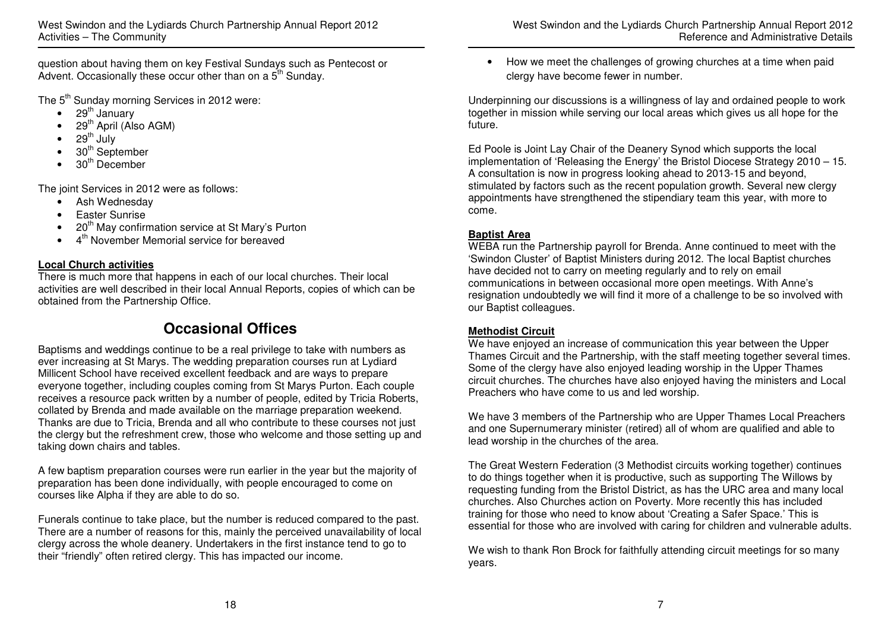question about having them on key Festival Sundays such as Pentecost or Advent. Occasionally these occur other than on a 5<sup>th</sup> Sunday.

The 5<sup>th</sup> Sunday morning Services in 2012 were:

- $\bullet$  29<sup>th</sup> January
- $\bullet$  29<sup>th</sup> April (Also AGM)
- 29<sup>th</sup> July
- $30<sup>th</sup>$  September
- $30<sup>th</sup>$  December

The joint Services in 2012 were as follows:

- Ash Wednesday
- Easter Sunrise
- $\bullet$  20<sup>th</sup> May confirmation service at St Mary's Purton
- 4<sup>th</sup> November Memorial service for bereaved

### **Local Church activities**

 There is much more that happens in each of our local churches. Their local activities are well described in their local Annual Reports, copies of which can be obtained from the Partnership Office.

# **Occasional Offices**

Baptisms and weddings continue to be a real privilege to take with numbers as ever increasing at St Marys. The wedding preparation courses run at Lydiard Millicent School have received excellent feedback and are ways to prepare everyone together, including couples coming from St Marys Purton. Each couple receives a resource pack written by a number of people, edited by Tricia Roberts, collated by Brenda and made available on the marriage preparation weekend. Thanks are due to Tricia, Brenda and all who contribute to these courses not just the clergy but the refreshment crew, those who welcome and those setting up and taking down chairs and tables.

A few baptism preparation courses were run earlier in the year but the majority of preparation has been done individually, with people encouraged to come on courses like Alpha if they are able to do so.

Funerals continue to take place, but the number is reduced compared to the past. There are a number of reasons for this, mainly the perceived unavailability of local clergy across the whole deanery. Undertakers in the first instance tend to go to their "friendly" often retired clergy. This has impacted our income.

• How we meet the challenges of growing churches at a time when paid clergy have become fewer in number.

Underpinning our discussions is a willingness of lay and ordained people to work together in mission while serving our local areas which gives us all hope for the future.

Ed Poole is Joint Lay Chair of the Deanery Synod which supports the local implementation of 'Releasing the Energy' the Bristol Diocese Strategy 2010 – 15. A consultation is now in progress looking ahead to 2013-15 and beyond, stimulated by factors such as the recent population growth. Several new clergy appointments have strengthened the stipendiary team this year, with more to come.

### **Baptist Area**

 WEBA run the Partnership payroll for Brenda. Anne continued to meet with the 'Swindon Cluster' of Baptist Ministers during 2012. The local Baptist churches have decided not to carry on meeting regularly and to rely on email communications in between occasional more open meetings. With Anne's resignation undoubtedly we will find it more of a challenge to be so involved with our Baptist colleagues.

### **Methodist Circuit**

 We have enjoyed an increase of communication this year between the Upper Thames Circuit and the Partnership, with the staff meeting together several times. Some of the clergy have also enjoyed leading worship in the Upper Thames circuit churches. The churches have also enjoyed having the ministers and Local Preachers who have come to us and led worship.

We have 3 members of the Partnership who are Upper Thames Local Preachers and one Supernumerary minister (retired) all of whom are qualified and able to lead worship in the churches of the area.

The Great Western Federation (3 Methodist circuits working together) continues to do things together when it is productive, such as supporting The Willows by requesting funding from the Bristol District, as has the URC area and many local churches. Also Churches action on Poverty. More recently this has included training for those who need to know about 'Creating a Safer Space.' This is essential for those who are involved with caring for children and vulnerable adults.

We wish to thank Ron Brock for faithfully attending circuit meetings for so many years.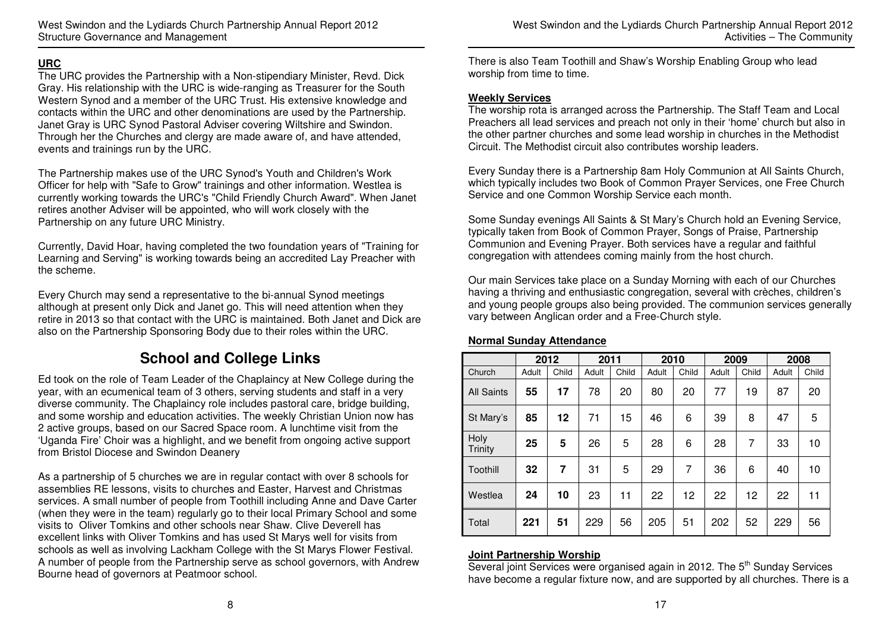#### **URC**

 The URC provides the Partnership with a Non-stipendiary Minister, Revd. Dick Gray. His relationship with the URC is wide-ranging as Treasurer for the South Western Synod and a member of the URC Trust. His extensive knowledge and contacts within the URC and other denominations are used by the Partnership. Janet Gray is URC Synod Pastoral Adviser covering Wiltshire and Swindon. Through her the Churches and clergy are made aware of, and have attended, events and trainings run by the URC.

The Partnership makes use of the URC Synod's Youth and Children's Work Officer for help with "Safe to Grow" trainings and other information. Westlea is currently working towards the URC's "Child Friendly Church Award". When Janet retires another Adviser will be appointed, who will work closely with the Partnership on any future URC Ministry.

Currently, David Hoar, having completed the two foundation years of "Training for Learning and Serving" is working towards being an accredited Lay Preacher with the scheme.

Every Church may send a representative to the bi-annual Synod meetings although at present only Dick and Janet go. This will need attention when they retire in 2013 so that contact with the URC is maintained. Both Janet and Dick are also on the Partnership Sponsoring Body due to their roles within the URC.

### **School and College Links**

Ed took on the role of Team Leader of the Chaplaincy at New College during the year, with an ecumenical team of 3 others, serving students and staff in a very diverse community. The Chaplaincy role includes pastoral care, bridge building, and some worship and education activities. The weekly Christian Union now has 2 active groups, based on our Sacred Space room. A lunchtime visit from the 'Uganda Fire' Choir was a highlight, and we benefit from ongoing active support from Bristol Diocese and Swindon Deanery

As a partnership of 5 churches we are in regular contact with over 8 schools for assemblies RE lessons, visits to churches and Easter, Harvest and Christmas services. A small number of people from Toothill including Anne and Dave Carter (when they were in the team) regularly go to their local Primary School and some visits to Oliver Tomkins and other schools near Shaw. Clive Deverell has excellent links with Oliver Tomkins and has used St Marys well for visits from schools as well as involving Lackham College with the St Marys Flower Festival. A number of people from the Partnership serve as school governors, with Andrew Bourne head of governors at Peatmoor school.

There is also Team Toothill and Shaw's Worship Enabling Group who lead worship from time to time.

#### **Weekly Services**

 The worship rota is arranged across the Partnership. The Staff Team and Local Preachers all lead services and preach not only in their 'home' church but also in the other partner churches and some lead worship in churches in the Methodist Circuit. The Methodist circuit also contributes worship leaders.

Every Sunday there is a Partnership 8am Holy Communion at All Saints Church, which typically includes two Book of Common Prayer Services, one Free Church Service and one Common Worship Service each month.

Some Sunday evenings All Saints & St Mary's Church hold an Evening Service, typically taken from Book of Common Prayer, Songs of Praise, Partnership Communion and Evening Prayer. Both services have a regular and faithful congregation with attendees coming mainly from the host church.

Our main Services take place on a Sunday Morning with each of our Churches having a thriving and enthusiastic congregation, several with crèches, children's and young people groups also being provided. The communion services generally vary between Anglican order and a Free-Church style.

|                   |       | 2012  | 2011  |       |       | 2010  |       | 2009  |       | 2008  |
|-------------------|-------|-------|-------|-------|-------|-------|-------|-------|-------|-------|
| Church            | Adult | Child | Adult | Child | Adult | Child | Adult | Child | Adult | Child |
| <b>All Saints</b> | 55    | 17    | 78    | 20    | 80    | 20    | 77    | 19    | 87    | 20    |
| St Mary's         | 85    | 12    | 71    | 15    | 46    | 6     | 39    | 8     | 47    | 5     |
| Holy<br>Trinity   | 25    | 5     | 26    | 5     | 28    | 6     | 28    | 7     | 33    | 10    |
| Toothill          | 32    | 7     | 31    | 5     | 29    | 7     | 36    | 6     | 40    | 10    |
| Westlea           | 24    | 10    | 23    | 11    | 22    | 12    | 22    | 12    | 22    | 11    |
| Total             | 221   | 51    | 229   | 56    | 205   | 51    | 202   | 52    | 229   | 56    |

#### **Normal Sunday Attendance**

#### **Joint Partnership Worship**

Several joint Services were organised again in 2012. The 5<sup>th</sup> Sunday Services have become a regular fixture now, and are supported by all churches. There is a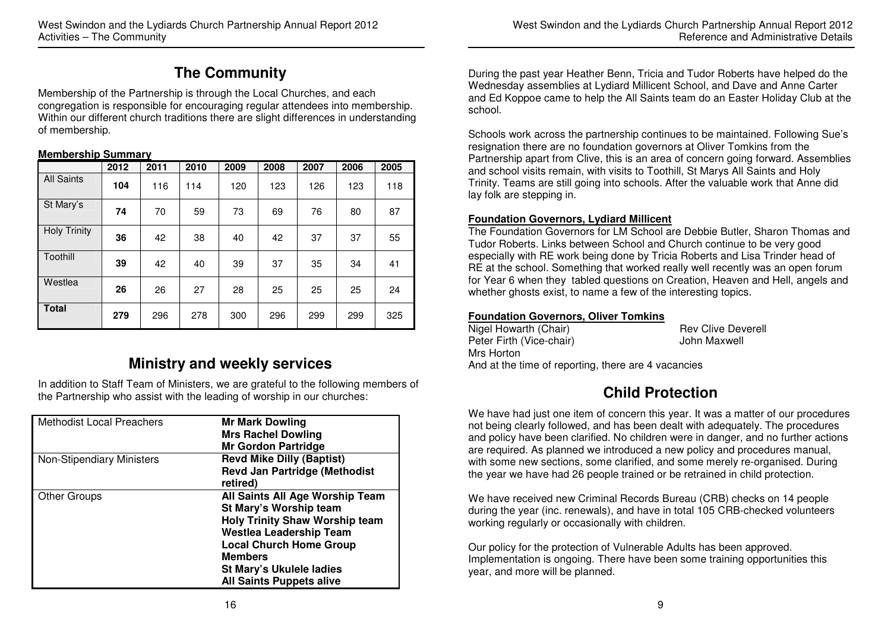# **The Community**

Membership of the Partnership is through the Local Churches, and each congregation is responsible for encouraging regular attendees into membership. Within our different church traditions there are slight differences in understanding of membership.

#### **Membership Summary**

|                     | 2012 | 2011 | 2010 | 2009 | 2008 | 2007 | 2006 | 2005 |
|---------------------|------|------|------|------|------|------|------|------|
| <b>All Saints</b>   | 104  | 116  | 114  | 120  | 123  | 126  | 123  | 118  |
| St Mary's           | 74   | 70   | 59   | 73   | 69   | 76   | 80   | 87   |
| <b>Holy Trinity</b> | 36   | 42   | 38   | 40   | 42   | 37   | 37   | 55   |
| Toothill            | 39   | 42   | 40   | 39   | 37   | 35   | 34   | 41   |
| Westlea             | 26   | 26   | 27   | 28   | 25   | 25   | 25   | 24   |
| <b>Total</b>        | 279  | 296  | 278  | 300  | 296  | 299  | 299  | 325  |

# **Ministry and weekly services**

In addition to Staff Team of Ministers, we are grateful to the following members of the Partnership who assist with the leading of worship in our churches:

| <b>Methodist Local Preachers</b> | <b>Mr Mark Dowling</b><br><b>Mrs Rachel Dowling</b><br><b>Mr Gordon Partridge</b>                                                                                                                                                                       |
|----------------------------------|---------------------------------------------------------------------------------------------------------------------------------------------------------------------------------------------------------------------------------------------------------|
| <b>Non-Stipendiary Ministers</b> | <b>Revd Mike Dilly (Baptist)</b><br><b>Revd Jan Partridge (Methodist</b><br>retired)                                                                                                                                                                    |
| <b>Other Groups</b>              | All Saints All Age Worship Team<br>St Mary's Worship team<br><b>Holy Trinity Shaw Worship team</b><br><b>Westlea Leadership Team</b><br><b>Local Church Home Group</b><br><b>Members</b><br>St Mary's Ukulele ladies<br><b>All Saints Puppets alive</b> |

During the past year Heather Benn, Tricia and Tudor Roberts have helped do the Wednesday assemblies at Lydiard Millicent School, and Dave and Anne Carter and Ed Koppoe came to help the All Saints team do an Easter Holiday Club at the school.

Schools work across the partnership continues to be maintained. Following Sue's resignation there are no foundation governors at Oliver Tomkins from the Partnership apart from Clive, this is an area of concern going forward. Assemblies and school visits remain, with visits to Toothill, St Marys All Saints and Holy Trinity. Teams are still going into schools. After the valuable work that Anne did lay folk are stepping in.

#### **Foundation Governors, Lydiard Millicent**

 The Foundation Governors for LM School are Debbie Butler, Sharon Thomas and Tudor Roberts. Links between School and Church continue to be very good especially with RE work being done by Tricia Roberts and Lisa Trinder head of RE at the school. Something that worked really well recently was an open forum for Year 6 when they tabled questions on Creation, Heaven and Hell, angels and whether ghosts exist, to name a few of the interesting topics.

#### **Foundation Governors, Oliver Tomkins**

| Nigel Howarth (Chair)                               | <b>Rev Clive Deverell</b> |
|-----------------------------------------------------|---------------------------|
| Peter Firth (Vice-chair)                            | John Maxwell              |
| Mrs Horton                                          |                           |
| And at the time of reporting, there are 4 vacancies |                           |

# **Child Protection**

We have had just one item of concern this year. It was a matter of our procedures not being clearly followed, and has been dealt with adequately. The procedures and policy have been clarified. No children were in danger, and no further actions are required. As planned we introduced a new policy and procedures manual, with some new sections, some clarified, and some merely re-organised. During the year we have had 26 people trained or be retrained in child protection.

We have received new Criminal Records Bureau (CRB) checks on 14 people during the year (inc. renewals), and have in total 105 CRB-checked volunteers working regularly or occasionally with children.

Our policy for the protection of Vulnerable Adults has been approved. Implementation is ongoing. There have been some training opportunities this year, and more will be planned.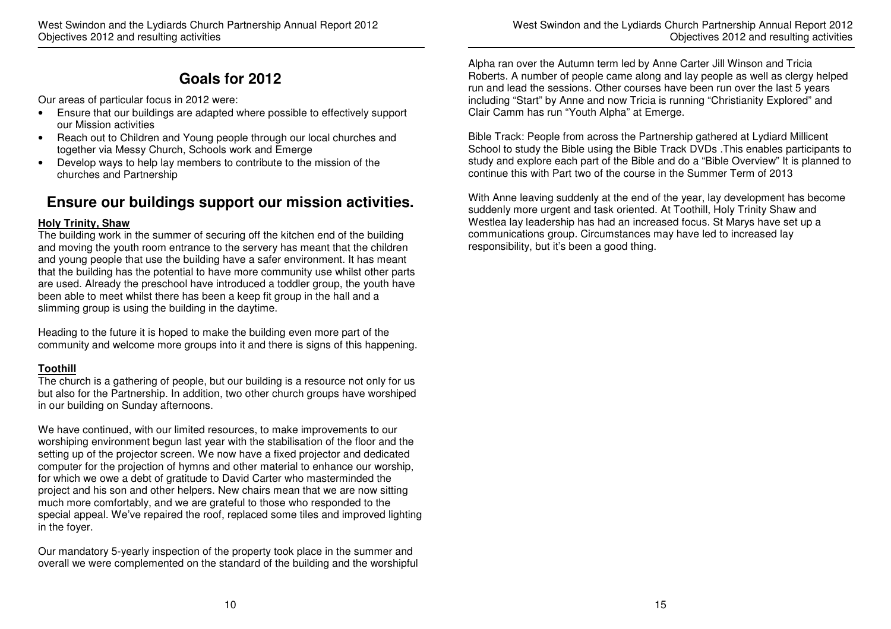# **Goals for 2012**

Our areas of particular focus in 2012 were:

- Ensure that our buildings are adapted where possible to effectively support our Mission activities
- Reach out to Children and Young people through our local churches and together via Messy Church, Schools work and Emerge
- Develop ways to help lay members to contribute to the mission of the churches and Partnership

# **Ensure our buildings support our mission activities.**

#### **Holy Trinity, Shaw**

 The building work in the summer of securing off the kitchen end of the building and moving the youth room entrance to the servery has meant that the children and young people that use the building have a safer environment. It has meant that the building has the potential to have more community use whilst other parts are used. Already the preschool have introduced a toddler group, the youth have been able to meet whilst there has been a keep fit group in the hall and a slimming group is using the building in the daytime.

Heading to the future it is hoped to make the building even more part of the community and welcome more groups into it and there is signs of this happening.

### **Toothill**

 The church is a gathering of people, but our building is a resource not only for us but also for the Partnership. In addition, two other church groups have worshiped in our building on Sunday afternoons.

We have continued, with our limited resources, to make improvements to our worshiping environment begun last year with the stabilisation of the floor and the setting up of the projector screen. We now have a fixed projector and dedicated computer for the projection of hymns and other material to enhance our worship, for which we owe a debt of gratitude to David Carter who masterminded the project and his son and other helpers. New chairs mean that we are now sitting much more comfortably, and we are grateful to those who responded to the special appeal. We've repaired the roof, replaced some tiles and improved lighting in the foyer.

Our mandatory 5-yearly inspection of the property took place in the summer and overall we were complemented on the standard of the building and the worshipful Alpha ran over the Autumn term led by Anne Carter Jill Winson and Tricia Roberts. A number of people came along and lay people as well as clergy helped run and lead the sessions. Other courses have been run over the last 5 years including "Start" by Anne and now Tricia is running "Christianity Explored" and Clair Camm has run "Youth Alpha" at Emerge.

Bible Track: People from across the Partnership gathered at Lydiard Millicent School to study the Bible using the Bible Track DVDs .This enables participants to study and explore each part of the Bible and do a "Bible Overview" It is planned to continue this with Part two of the course in the Summer Term of 2013

With Anne leaving suddenly at the end of the year, lay development has become suddenly more urgent and task oriented. At Toothill, Holy Trinity Shaw and Westlea lay leadership has had an increased focus. St Marys have set up a communications group. Circumstances may have led to increased lay responsibility, but it's been a good thing.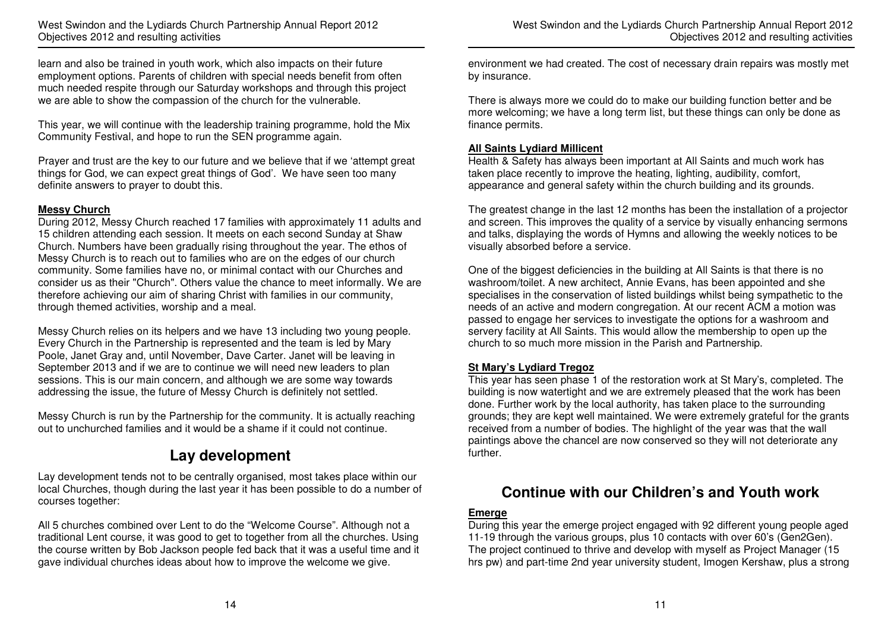learn and also be trained in youth work, which also impacts on their future employment options. Parents of children with special needs benefit from often much needed respite through our Saturday workshops and through this project we are able to show the compassion of the church for the vulnerable.

This year, we will continue with the leadership training programme, hold the Mix Community Festival, and hope to run the SEN programme again.

Prayer and trust are the key to our future and we believe that if we 'attempt great things for God, we can expect great things of God'. We have seen too many definite answers to prayer to doubt this.

#### **Messy Church**

 During 2012, Messy Church reached 17 families with approximately 11 adults and 15 children attending each session. It meets on each second Sunday at Shaw Church. Numbers have been gradually rising throughout the year. The ethos of Messy Church is to reach out to families who are on the edges of our church community. Some families have no, or minimal contact with our Churches and consider us as their "Church". Others value the chance to meet informally. We are therefore achieving our aim of sharing Christ with families in our community, through themed activities, worship and a meal.

Messy Church relies on its helpers and we have 13 including two young people. Every Church in the Partnership is represented and the team is led by Mary Poole, Janet Gray and, until November, Dave Carter. Janet will be leaving in September 2013 and if we are to continue we will need new leaders to plan sessions. This is our main concern, and although we are some way towards addressing the issue, the future of Messy Church is definitely not settled.

Messy Church is run by the Partnership for the community. It is actually reaching out to unchurched families and it would be a shame if it could not continue.

## **Lay development**

Lay development tends not to be centrally organised, most takes place within our local Churches, though during the last year it has been possible to do a number of courses together:

All 5 churches combined over Lent to do the "Welcome Course". Although not a traditional Lent course, it was good to get to together from all the churches. Using the course written by Bob Jackson people fed back that it was a useful time and it gave individual churches ideas about how to improve the welcome we give.

environment we had created. The cost of necessary drain repairs was mostly met by insurance.

There is always more we could do to make our building function better and be more welcoming; we have a long term list, but these things can only be done as finance permits.

#### **All Saints Lydiard Millicent**

 Health & Safety has always been important at All Saints and much work has taken place recently to improve the heating, lighting, audibility, comfort, appearance and general safety within the church building and its grounds.

The greatest change in the last 12 months has been the installation of a projector and screen. This improves the quality of a service by visually enhancing sermons and talks, displaying the words of Hymns and allowing the weekly notices to be visually absorbed before a service.

One of the biggest deficiencies in the building at All Saints is that there is no washroom/toilet. A new architect, Annie Evans, has been appointed and she specialises in the conservation of listed buildings whilst being sympathetic to the needs of an active and modern congregation. At our recent ACM a motion was passed to engage her services to investigate the options for a washroom and servery facility at All Saints. This would allow the membership to open up the church to so much more mission in the Parish and Partnership.

#### **St Mary's Lydiard Tregoz**

 This year has seen phase 1 of the restoration work at St Mary's, completed. The building is now watertight and we are extremely pleased that the work has been done. Further work by the local authority, has taken place to the surrounding grounds; they are kept well maintained. We were extremely grateful for the grants received from a number of bodies. The highlight of the year was that the wall paintings above the chancel are now conserved so they will not deteriorate any further.

### **Continue with our Children's and Youth work**

#### **Emerge**

 During this year the emerge project engaged with 92 different young people aged 11-19 through the various groups, plus 10 contacts with over 60's (Gen2Gen). The project continued to thrive and develop with myself as Project Manager (15 hrs pw) and part-time 2nd year university student, Imogen Kershaw, plus a strong